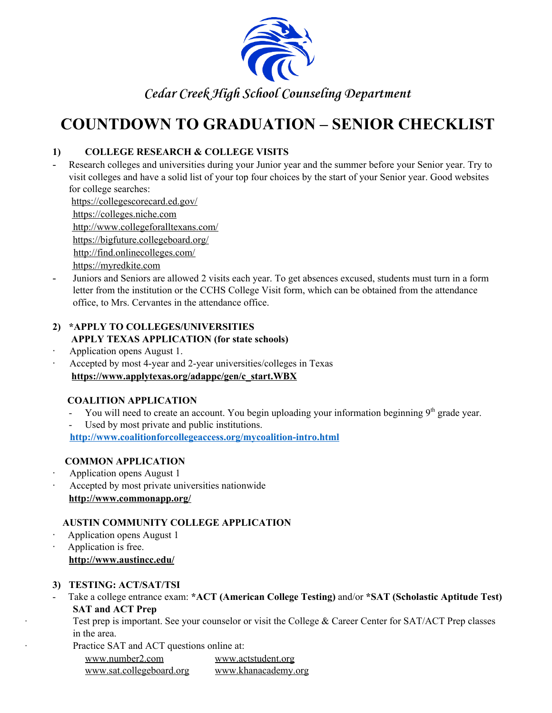

# **COUNTDOWN TO GRADUATION – SENIOR CHECKLIST**

## **1) COLLEGE RESEARCH & COLLEGE VISITS**

- Research colleges and universities during your Junior year and the summer before your Senior year. Try to visit colleges and have a solid list of your top four choices by the start of your Senior year. Good websites for college searches:

<https://collegescorecard.ed.gov/>

[https://colleges.niche.com](https://colleges.niche.com/)

<http://www.collegeforalltexans.com/>

<https://bigfuture.collegeboard.org/>

<http://find.onlinecolleges.com/>

- [https://myredkite.com](https://myredkite.com/)
- Juniors and Seniors are allowed 2 visits each year. To get absences excused, students must turn in a form letter from the institution or the CCHS College Visit form, which can be obtained from the attendance office, to Mrs. Cervantes in the attendance office.

#### **2) \*APPLY TO COLLEGES/UNIVERSITIES APPLY TEXAS APPLICATION (for state schools)**

- · Application opens August 1.
- Accepted by most 4-year and 2-year universities/colleges in Texas **[https://www.applytexas.org/adappc/gen/c\\_start.WBX](https://www.applytexas.org/adappc/gen/c_start.WBX)**

# **COALITION APPLICATION**

- You will need to create an account. You begin uploading your information beginning 9<sup>th</sup> grade year.
- Used by most private and public institutions.

**http://www.coalitionforcollegeaccess.org/mycoalition-intro.html**

# **COMMON APPLICATION**

- · Application opens August 1
- Accepted by most private universities nationwide **<http://www.commonapp.org/>**

# **AUSTIN COMMUNITY COLLEGE APPLICATION**

- Application opens August 1
- · Application is free. **<http://www.austincc.edu/>**

# **3) TESTING: ACT/SAT/TSI**

- Take a college entrance exam: **\*ACT (American College Testing)** and/or **\*SAT (Scholastic Aptitude Test) SAT and ACT Prep**
	- Test prep is important. See your counselor or visit the College & Career Center for SAT/ACT Prep classes in the area.
	- Practice SAT and ACT questions online at:

[www.number2.com](http://www.number2.com/) [www.actstudent.org](http://www.actstudent.org/) [www.sat.collegeboard.org](http://www.sat.collegeboard.org/) [www.khanacademy.org](http://www.khanacademy.org/)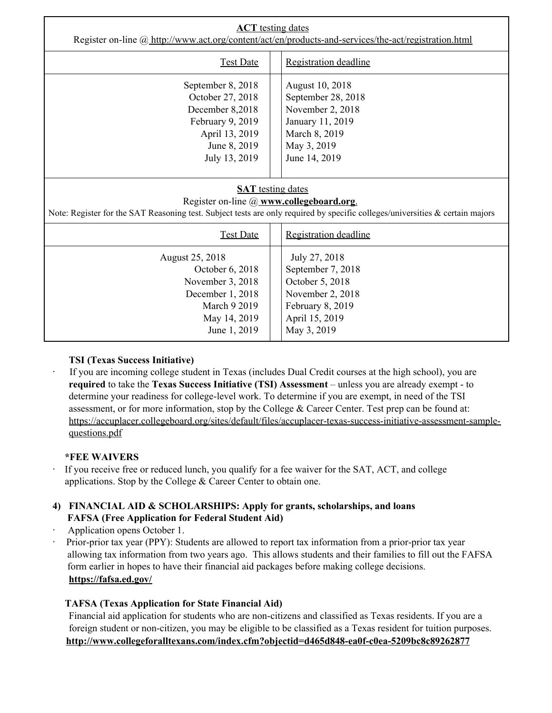| <b>ACT</b> testing dates<br>Register on-line @ http://www.act.org/content/act/en/products-and-services/the-act/registration.html                                                                      |                                                                                                                                |  |
|-------------------------------------------------------------------------------------------------------------------------------------------------------------------------------------------------------|--------------------------------------------------------------------------------------------------------------------------------|--|
| <b>Test Date</b>                                                                                                                                                                                      | Registration deadline                                                                                                          |  |
| September 8, 2018<br>October 27, 2018<br>December 8,2018<br>February 9, 2019<br>April 13, 2019<br>June 8, 2019<br>July 13, 2019                                                                       | August 10, 2018<br>September 28, 2018<br>November 2, 2018<br>January 11, 2019<br>March 8, 2019<br>May 3, 2019<br>June 14, 2019 |  |
| <b>SAT</b> testing dates<br>Register on-line @ www.collegeboard.org.<br>Note: Register for the SAT Reasoning test. Subject tests are only required by specific colleges/universities & certain majors |                                                                                                                                |  |
| <b>Test Date</b>                                                                                                                                                                                      | Registration deadline                                                                                                          |  |
| August 25, 2018<br>October 6, 2018<br>November 3, 2018<br>December 1, 2018<br><b>March 9 2019</b><br>May 14, 2019<br>June 1, 2019                                                                     | July 27, 2018<br>September 7, 2018<br>October 5, 2018<br>November 2, 2018<br>February 8, 2019<br>April 15, 2019<br>May 3, 2019 |  |

#### **TSI (Texas Success Initiative)**

If you are incoming college student in Texas (includes Dual Credit courses at the high school), you are **required** to take the **Texas Success Initiative (TSI) Assessment** – unless you are already exempt - to determine your readiness for college-level work. To determine if you are exempt, in need of the TSI assessment, or for more information, stop by the College & Career Center. Test prep can be found at: [https://accuplacer.collegeboard.org/sites/default/files/accuplacer-texas-success-initiative-assessment-sample](https://accuplacer.collegeboard.org/sites/default/files/accuplacer-texas-success-initiative-assessment-sample-questions.pdf)[questions.pdf](https://accuplacer.collegeboard.org/sites/default/files/accuplacer-texas-success-initiative-assessment-sample-questions.pdf)

#### **\*FEE WAIVERS**

- If you receive free or reduced lunch, you qualify for a fee waiver for the SAT, ACT, and college applications. Stop by the College & Career Center to obtain one.
- **4) FINANCIAL AID & SCHOLARSHIPS: Apply for grants, scholarships, and loans FAFSA (Free Application for Federal Student Aid)**
- Application opens October 1.
- Prior-prior tax year (PPY): Students are allowed to report tax information from a prior-prior tax year allowing tax information from two years ago. This allows students and their families to fill out the FAFSA form earlier in hopes to have their financial aid packages before making college decisions. **<https://fafsa.ed.gov/>**

#### **TAFSA (Texas Application for State Financial Aid)**

Financial aid application for students who are non-citizens and classified as Texas residents. If you are a foreign student or non-citizen, you may be eligible to be classified as a Texas resident for tuition purposes. **<http://www.collegeforalltexans.com/index.cfm?objectid=d465d848-ea0f-c0ea-5209bc8c89262877>**